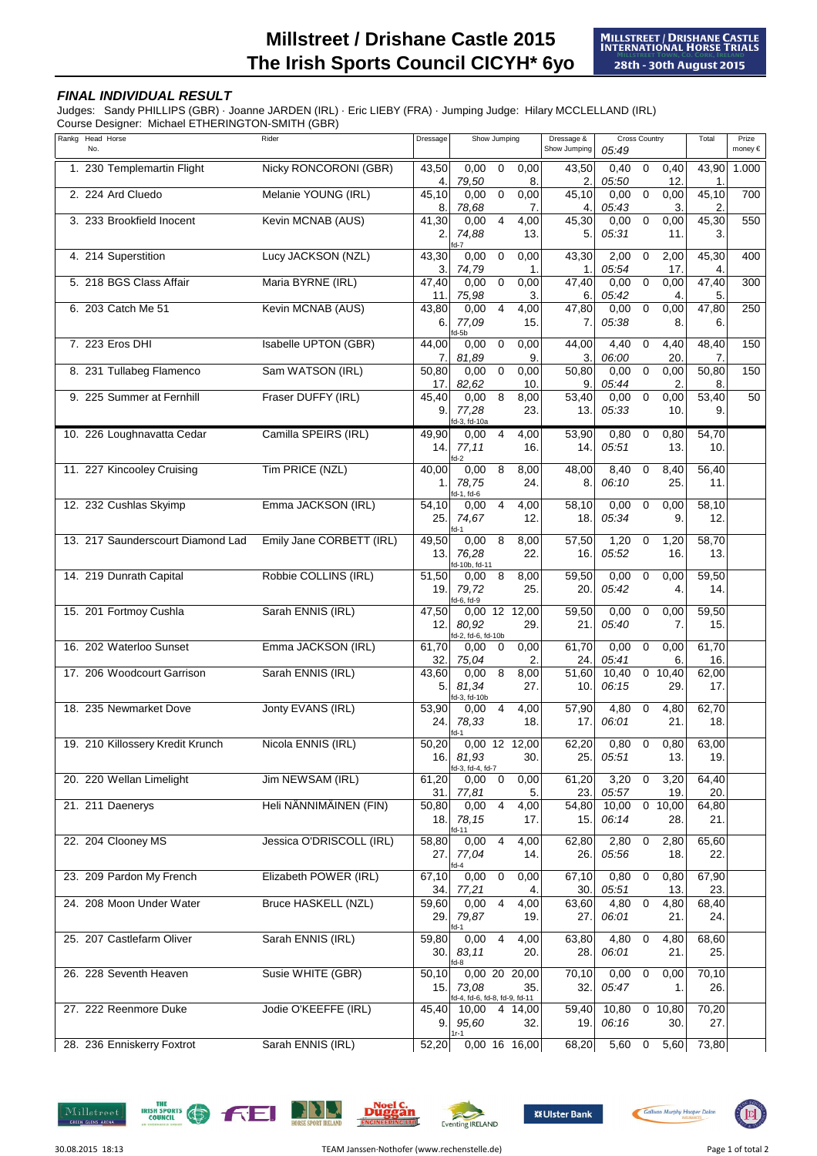## **Millstreet / Drishane Castle 2015 The Irish Sports Council CICYH\* 6yo**

## **FINAL INDIVIDUAL RESULT**

Judges: Sandy PHILLIPS (GBR) · Joanne JARDEN (IRL) · Eric LIEBY (FRA) · Jumping Judge: Hilary MCCLELLAND (IRL) Course Designer: Michael ETHERINGTON-SMITH (GBR)

| Rankg | Head Horse<br>No.                 | Rider                      | Dressage                  | Show Jumping                          |                |                        | Dressage &<br>Show Jumping | <b>Cross Country</b><br>05:49 |                |                        | Total                     | Prize<br>money € |
|-------|-----------------------------------|----------------------------|---------------------------|---------------------------------------|----------------|------------------------|----------------------------|-------------------------------|----------------|------------------------|---------------------------|------------------|
|       | 1. 230 Templemartin Flight        | Nicky RONCORONI (GBR)      | 43,50<br>4.               | 0,00<br>79,50                         | $\mathbf 0$    | 0,00<br>8              | 43,50<br>$\mathbf{2}$      | 0,40<br>05:50                 | $\mathbf 0$    | 0,40<br>12.            | 43,90<br>1.               | 1.000            |
|       | 2. 224 Ard Cluedo                 | Melanie YOUNG (IRL)        | 45,10<br>8.               | 0,00<br>78,68                         | $\mathbf 0$    | 0,00<br>7.             | 45,10<br>$\mathbf 4$       | 0,00<br>05:43                 | $\mathbf 0$    | 0,00<br>3.             | 45,10<br>2.               | 700              |
|       | 3. 233 Brookfield Inocent         | Kevin MCNAB (AUS)          | 41,30<br>2.               | 0,00<br>74,88<br>fd-7                 | $\overline{4}$ | 4,00<br>13.            | 45,30<br>5.                | 0,00<br>05:31                 | $\mathbf 0$    | 0,00<br>11.            | 45,30<br>3.               | 550              |
|       | 4. 214 Superstition               | Lucy JACKSON (NZL)         | 43,30<br>3.               | 0,00<br>74,79                         | $\mathbf 0$    | 0,00<br>1.             | 43,30<br>1.                | 2,00<br>05:54                 | 0              | 2,00<br>17.            | 45,30<br>4.               | 400              |
|       | 5. 218 BGS Class Affair           | Maria BYRNE (IRL)          | 47,40<br>11.              | 0,00<br>75,98                         | $\pmb{0}$      | 0,00<br>3.             | 47,40<br>6.                | 0,00<br>05:42                 | $\mathsf 0$    | 0,00<br>4.             | 47,40<br>5.               | 300              |
|       | 6. 203 Catch Me 51                | Kevin MCNAB (AUS)          | 43,80<br>6.               | 0,00<br>77,09<br>fd-5b                | 4              | 4,00<br>15.            | 47,80<br>7.                | 0,00<br>05:38                 | $\mathbf 0$    | 0,00<br>8.             | 47,80<br>6.               | 250              |
|       | 7. 223 Eros DHI                   | Isabelle UPTON (GBR)       | 44,00<br>7.               | 0,00<br>81,89                         | $\mathbf 0$    | 0,00<br>9              | 44,00<br>3.                | 4,40<br>06:00                 | $\mathbf 0$    | 4,40<br>20.            | 48,40<br>7.               | 150              |
|       | 8. 231 Tullabeg Flamenco          | Sam WATSON (IRL)           | 50,80<br>17.              | 0,00<br>82,62                         | $\mathbf 0$    | 0,00<br>10.            | 50,80<br>9.                | 0,00<br>05:44                 | $\mathbf 0$    | 0,00<br>$\overline{2}$ | 50,80<br>8.               | 150              |
|       | 9. 225 Summer at Fernhill         | Fraser DUFFY (IRL)         | 45,40<br>9.               | 0,00<br>77,28<br>d-3, fd-10a          | 8              | 8,00<br>23.            | 53,40<br>13.               | 0,00<br>05:33                 | $\mathbf 0$    | 0,00<br>10.            | 53,40<br>9.               | 50               |
|       | 10. 226 Loughnavatta Cedar        | Camilla SPEIRS (IRL)       | 49,90<br>14.              | 0,00<br>77,11<br>$dd-2$               | 4              | 4,00<br>16.            | 53,90<br>14.               | 0,80<br>05:51                 | 0              | 0,80<br>13.            | 54,70<br>10.              |                  |
|       | 11. 227 Kincooley Cruising        | Tim PRICE (NZL)            | 40,00<br>1.               | 0,00<br>78,75<br>d-1, fd-6            | 8              | 8,00<br>24.            | 48,00<br>8.                | 8,40<br>06:10                 | 0              | 8,40<br>25.            | 56,40<br>11.              |                  |
|       | 12. 232 Cushlas Skyimp            | Emma JACKSON (IRL)         | 54,10<br>25.              | 0,00<br>74,67<br>fd-1                 | $\overline{4}$ | 4,00<br>12.            | 58,10<br>18.               | 0,00<br>05:34                 | 0              | 0,00<br>9.             | 58,10<br>12.              |                  |
|       | 13. 217 Saunderscourt Diamond Lad | Emily Jane CORBETT (IRL)   | 49,50<br>13.              | 0,00<br>76,28<br>d-10b, fd-11         | 8              | 8,00<br>22.            | 57,50<br>16.               | 1,20<br>05:52                 | 0              | 1,20<br>16.            | 58,70<br>13.              |                  |
|       | 14. 219 Dunrath Capital           | Robbie COLLINS (IRL)       | 51,50<br>19.              | 0,00<br>79,72<br>fd-6, fd-9           | 8              | 8,00<br>25.            | 59,50<br>20.               | 0,00<br>05:42                 | $\mathbf 0$    | 0,00<br>4.             | 59,50<br>14.              |                  |
|       | 15. 201 Fortmoy Cushla            | Sarah ENNIS (IRL)          | 47,50<br>12.              | 80,92<br>d-2, fd-6, fd-10b            |                | 0,00 12 12,00<br>29.   | 59,50<br>21.               | 0,00<br>05:40                 | 0              | 0,00<br>7.             | $\overline{59,50}$<br>15. |                  |
|       | 16. 202 Waterloo Sunset           | Emma JACKSON (IRL)         | 61,70<br>32.              | 0,00<br>75,04                         | 0              | 0,00<br>2.             | 61,70<br>24.               | 0,00<br>05:41                 | 0              | 0,00<br>6.             | 61,70<br>16.              |                  |
|       | 17. 206 Woodcourt Garrison        | Sarah ENNIS (IRL)          | 43,60<br>5.               | 0,00<br>81,34<br>fd-3, fd-10b         | 8              | 8,00<br>27.            | 51,60<br>10.               | 10,40<br>06:15                |                | 0 10,40<br>29.         | 62,00<br>17.              |                  |
|       | 18. 235 Newmarket Dove            | Jonty EVANS (IRL)          | $\overline{53,90}$<br>24. | 0,00<br>78,33<br>fd-1                 | 4              | 4,00<br>18.            | 57,90<br>17.               | 4,80<br>06:01                 | 0              | 4,80<br>21.            | 62,70<br>18.              |                  |
|       | 19. 210 Killossery Kredit Krunch  | Nicola ENNIS (IRL)         | 50,20<br>16.              | 81,93<br>fd-3, fd-4, fd-7             |                | 0.00 12 12.00<br>30.   | 62,20<br>25.               | 0,80<br>05:51                 | 0              | 0,80<br>13.            | 63,00<br>19.              |                  |
|       | 20. 220 Wellan Limelight          | Jim NEWSAM (IRL)           | 61,20<br>31.              | 0,00<br>77,81                         | $\mathbf 0$    | 0,00<br>5.             | 61,20<br>23.               | 3,20<br>05:57                 | 0              | 3,20<br>19.            | 64,40<br>20.              |                  |
|       | 21. 211 Daenerys                  | Heli NÄNNIMÄINEN (FIN)     | 50.80<br>18.              | 0,00<br>78,15<br>fd-11                | $\overline{4}$ | 4,00<br>17.            | 54,80<br>15.               | 10,00<br>06:14                | $\mathbf 0$    | 10,00<br>28.           | 64,80<br>21.              |                  |
|       | 22. 204 Clooney MS                | Jessica O'DRISCOLL (IRL)   | 58,80<br>27.              | 0,00<br>77,04                         | $\overline{4}$ | 4,00<br>14.            | 62,80<br>26.               | 2,80<br>05:56                 | $\mathbf 0$    | 2,80<br>18.            | 65,60<br>22.              |                  |
|       | 23. 209 Pardon My French          | Elizabeth POWER (IRL)      | 67,10<br>34.              | 0,00<br>77,21                         | $\mathbf 0$    | 0,00<br>4.             | 67,10<br>30.               | 0,80<br>05:51                 | 0              | 0,80<br>13.            | 67,90<br>23.              |                  |
|       | 24. 208 Moon Under Water          | <b>Bruce HASKELL (NZL)</b> | 59,60<br>29.              | 0,00<br>79,87                         | $\overline{4}$ | 4,00<br>19.            | 63,60<br>27.               | 4,80<br>06:01                 | $\overline{0}$ | 4,80<br>21.            | 68,40<br>24.              |                  |
|       | 25. 207 Castlefarm Oliver         | Sarah ENNIS (IRL)          | 59,80<br>30.I             | 0,00<br>83,11<br>fd-8                 | $\overline{4}$ | 4,00<br>20.            | 63,80<br>28.               | 4,80<br>06:01                 | 0              | 4,80<br>21.            | 68,60<br>25.              |                  |
|       | 26. 228 Seventh Heaven            | Susie WHITE (GBR)          | 50,10<br>15.              | 73,08<br>d-4, fd-6, fd-8, fd-9, fd-11 |                | $0,00$ 20 20,00<br>35. | 70,10<br>32.               | 0,00<br>05:47                 | $\mathbf 0$    | 0,00<br>1.             | 70,10<br>26.              |                  |
|       | 27. 222 Reenmore Duke             | Jodie O'KEEFFE (IRL)       | 45,40<br>9.               | 10,00<br>95,60<br>1r-1                | 4              | 14,00<br>32.           | 59,40<br>19.               | 10,80<br>06:16                |                | 0 10,80<br>30.         | 70,20<br>27.              |                  |
|       | 28. 236 Enniskerry Foxtrot        | Sarah ENNIS (IRL)          | 52,20                     |                                       |                | 0,00 16 16,00          | 68,20                      | 5,60                          | $\mathbf 0$    | 5,60                   | 73,80                     |                  |